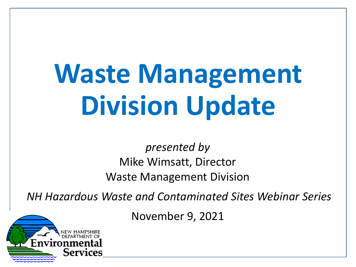# **Waste Management Division Update**

*presented by*  Mike Wimsatt, Director Waste Management Division

*NH Hazardous Waste and Contaminated Sites Webinar Series*

November 9, 2021

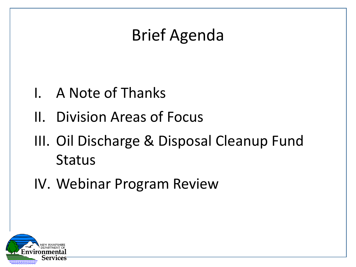### Brief Agenda

- I. A Note of Thanks
- II. Division Areas of Focus
- III. Oil Discharge & Disposal Cleanup Fund Status
- IV. Webinar Program Review

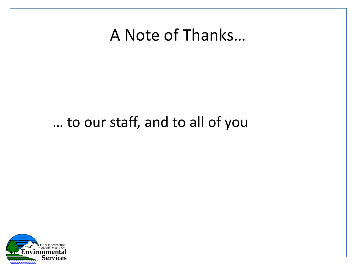#### A Note of Thanks…

#### … to our staff, and to all of you

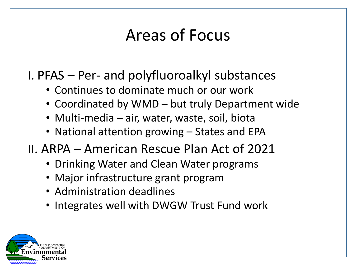### Areas of Focus

- I. PFAS Per- and polyfluoroalkyl substances
	- Continues to dominate much or our work
	- Coordinated by WMD but truly Department wide
	- Multi-media air, water, waste, soil, biota
	- National attention growing States and EPA
- II. ARPA American Rescue Plan Act of 2021
	- Drinking Water and Clean Water programs
	- Major infrastructure grant program
	- Administration deadlines
	- Integrates well with DWGW Trust Fund work

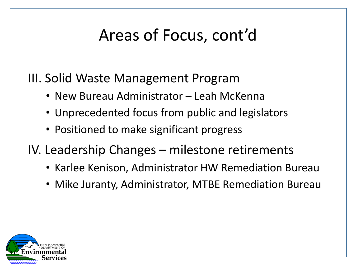# Areas of Focus, cont'd

III. Solid Waste Management Program

- New Bureau Administrator Leah McKenna
- Unprecedented focus from public and legislators
- Positioned to make significant progress
- IV. Leadership Changes milestone retirements
	- Karlee Kenison, Administrator HW Remediation Bureau
	- Mike Juranty, Administrator, MTBE Remediation Bureau

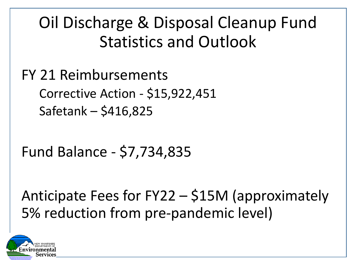#### Oil Discharge & Disposal Cleanup Fund Statistics and Outlook

FY 21 Reimbursements Corrective Action - \$15,922,451 Safetank – \$416,825

Fund Balance - \$7,734,835

Anticipate Fees for FY22 – \$15M (approximately 5% reduction from pre-pandemic level)

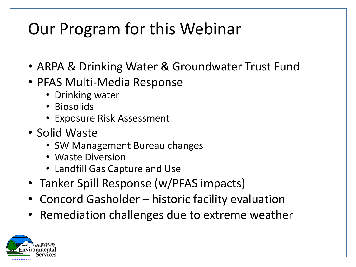#### Our Program for this Webinar

- ARPA & Drinking Water & Groundwater Trust Fund
- PFAS Multi-Media Response
	- Drinking water
	- Biosolids
	- Exposure Risk Assessment
- Solid Waste
	- SW Management Bureau changes
	- Waste Diversion
	- Landfill Gas Capture and Use
- Tanker Spill Response (w/PFAS impacts)
- Concord Gasholder historic facility evaluation
- Remediation challenges due to extreme weather